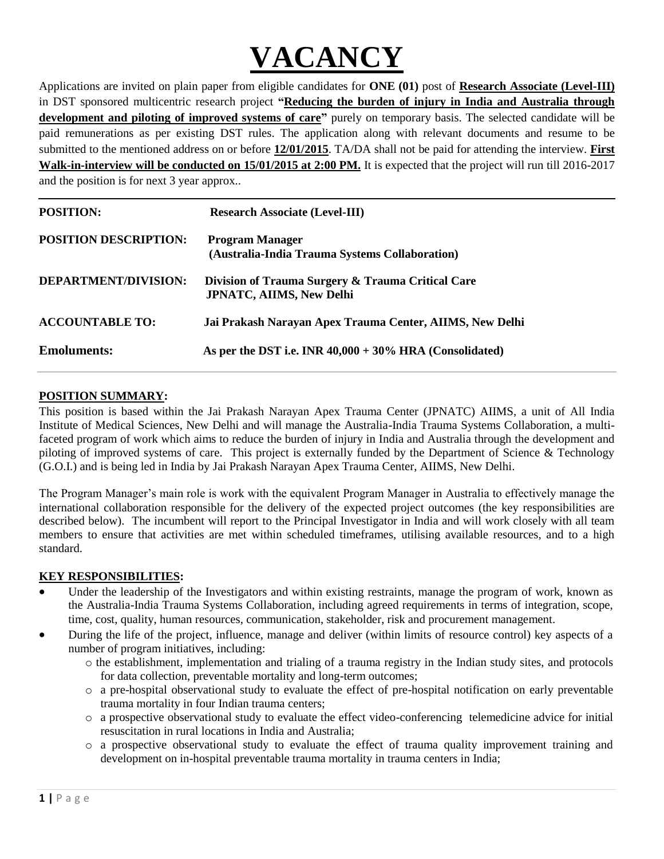

Applications are invited on plain paper from eligible candidates for **ONE (01)** post of **Research Associate (Level-III)** in DST sponsored multicentric research project **"Reducing the burden of injury in India and Australia through**  development and piloting of improved systems of care" purely on temporary basis. The selected candidate will be paid remunerations as per existing DST rules. The application along with relevant documents and resume to be submitted to the mentioned address on or before **12/01/2015**. TA/DA shall not be paid for attending the interview. **First Walk-in-interview will be conducted on 15/01/2015 at 2:00 PM.** It is expected that the project will run till 2016-2017 and the position is for next 3 year approx..

| <b>POSITION:</b>             | <b>Research Associate (Level-III)</b>                                                |
|------------------------------|--------------------------------------------------------------------------------------|
| <b>POSITION DESCRIPTION:</b> | <b>Program Manager</b><br>(Australia-India Trauma Systems Collaboration)             |
| DEPARTMENT/DIVISION:         | Division of Trauma Surgery & Trauma Critical Care<br><b>JPNATC, AIIMS, New Delhi</b> |
| <b>ACCOUNTABLE TO:</b>       | Jai Prakash Narayan Apex Trauma Center, AIIMS, New Delhi                             |
| <b>Emoluments:</b>           | As per the DST i.e. INR $40,000 + 30\%$ HRA (Consolidated)                           |

### **POSITION SUMMARY:**

This position is based within the Jai Prakash Narayan Apex Trauma Center (JPNATC) AIIMS, a unit of All India Institute of Medical Sciences, New Delhi and will manage the Australia-India Trauma Systems Collaboration, a multifaceted program of work which aims to reduce the burden of injury in India and Australia through the development and piloting of improved systems of care. This project is externally funded by the Department of Science & Technology (G.O.I.) and is being led in India by Jai Prakash Narayan Apex Trauma Center, AIIMS, New Delhi.

The Program Manager's main role is work with the equivalent Program Manager in Australia to effectively manage the international collaboration responsible for the delivery of the expected project outcomes (the key responsibilities are described below). The incumbent will report to the Principal Investigator in India and will work closely with all team members to ensure that activities are met within scheduled timeframes, utilising available resources, and to a high standard.

## **KEY RESPONSIBILITIES:**

- Under the leadership of the Investigators and within existing restraints, manage the program of work, known as the Australia-India Trauma Systems Collaboration, including agreed requirements in terms of integration, scope, time, cost, quality, human resources, communication, stakeholder, risk and procurement management.
- During the life of the project, influence, manage and deliver (within limits of resource control) key aspects of a number of program initiatives, including:
	- o the establishment, implementation and trialing of a trauma registry in the Indian study sites, and protocols for data collection, preventable mortality and long-term outcomes;
	- o a pre-hospital observational study to evaluate the effect of pre-hospital notification on early preventable trauma mortality in four Indian trauma centers;
	- o a prospective observational study to evaluate the effect video-conferencing telemedicine advice for initial resuscitation in rural locations in India and Australia;
	- o a prospective observational study to evaluate the effect of trauma quality improvement training and development on in-hospital preventable trauma mortality in trauma centers in India;